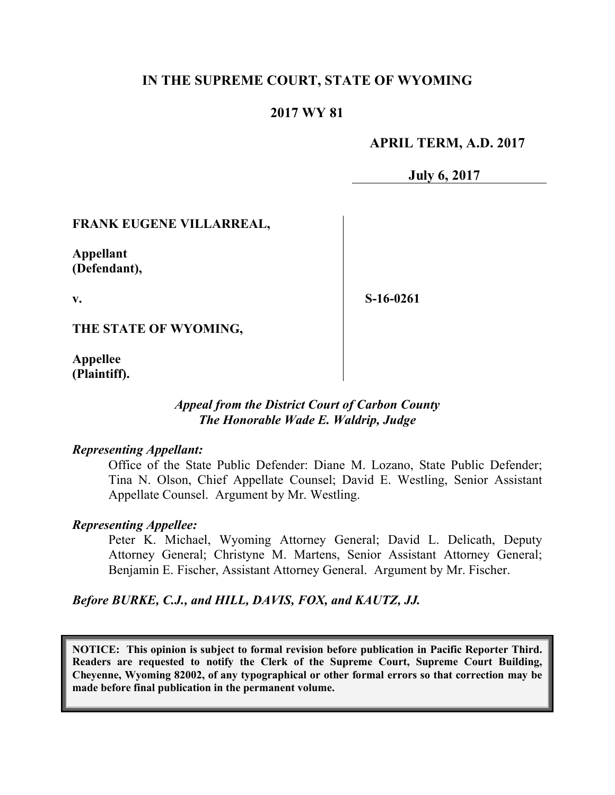## **IN THE SUPREME COURT, STATE OF WYOMING**

## **2017 WY 81**

## **APRIL TERM, A.D. 2017**

**July 6, 2017**

## **FRANK EUGENE VILLARREAL,**

**Appellant (Defendant),**

**v.**

**S-16-0261**

**THE STATE OF WYOMING,**

**Appellee (Plaintiff).**

## *Appeal from the District Court of Carbon County The Honorable Wade E. Waldrip, Judge*

#### *Representing Appellant:*

Office of the State Public Defender: Diane M. Lozano, State Public Defender; Tina N. Olson, Chief Appellate Counsel; David E. Westling, Senior Assistant Appellate Counsel. Argument by Mr. Westling.

#### *Representing Appellee:*

Peter K. Michael, Wyoming Attorney General; David L. Delicath, Deputy Attorney General; Christyne M. Martens, Senior Assistant Attorney General; Benjamin E. Fischer, Assistant Attorney General. Argument by Mr. Fischer.

*Before BURKE, C.J., and HILL, DAVIS, FOX, and KAUTZ, JJ.*

**NOTICE: This opinion is subject to formal revision before publication in Pacific Reporter Third. Readers are requested to notify the Clerk of the Supreme Court, Supreme Court Building, Cheyenne, Wyoming 82002, of any typographical or other formal errors so that correction may be made before final publication in the permanent volume.**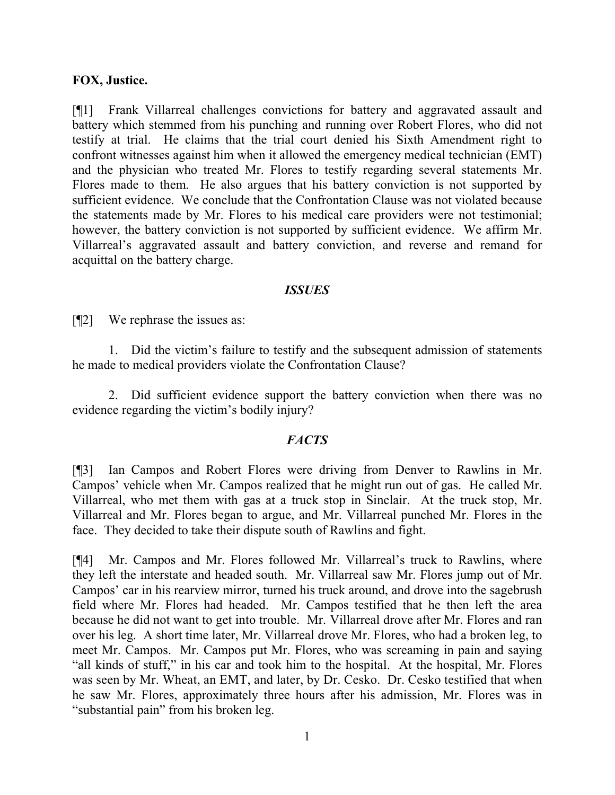#### **FOX, Justice.**

[¶1] Frank Villarreal challenges convictions for battery and aggravated assault and battery which stemmed from his punching and running over Robert Flores, who did not testify at trial. He claims that the trial court denied his Sixth Amendment right to confront witnesses against him when it allowed the emergency medical technician (EMT) and the physician who treated Mr. Flores to testify regarding several statements Mr. Flores made to them. He also argues that his battery conviction is not supported by sufficient evidence. We conclude that the Confrontation Clause was not violated because the statements made by Mr. Flores to his medical care providers were not testimonial; however, the battery conviction is not supported by sufficient evidence. We affirm Mr. Villarreal's aggravated assault and battery conviction, and reverse and remand for acquittal on the battery charge.

#### *ISSUES*

[¶2] We rephrase the issues as:

1. Did the victim's failure to testify and the subsequent admission of statements he made to medical providers violate the Confrontation Clause?

2. Did sufficient evidence support the battery conviction when there was no evidence regarding the victim's bodily injury?

## *FACTS*

[¶3] Ian Campos and Robert Flores were driving from Denver to Rawlins in Mr. Campos' vehicle when Mr. Campos realized that he might run out of gas. He called Mr. Villarreal, who met them with gas at a truck stop in Sinclair. At the truck stop, Mr. Villarreal and Mr. Flores began to argue, and Mr. Villarreal punched Mr. Flores in the face. They decided to take their dispute south of Rawlins and fight.

[¶4] Mr. Campos and Mr. Flores followed Mr. Villarreal's truck to Rawlins, where they left the interstate and headed south. Mr. Villarreal saw Mr. Flores jump out of Mr. Campos' car in his rearview mirror, turned his truck around, and drove into the sagebrush field where Mr. Flores had headed. Mr. Campos testified that he then left the area because he did not want to get into trouble. Mr. Villarreal drove after Mr. Flores and ran over his leg. A short time later, Mr. Villarreal drove Mr. Flores, who had a broken leg, to meet Mr. Campos. Mr. Campos put Mr. Flores, who was screaming in pain and saying "all kinds of stuff," in his car and took him to the hospital. At the hospital, Mr. Flores was seen by Mr. Wheat, an EMT, and later, by Dr. Cesko. Dr. Cesko testified that when he saw Mr. Flores, approximately three hours after his admission, Mr. Flores was in "substantial pain" from his broken leg.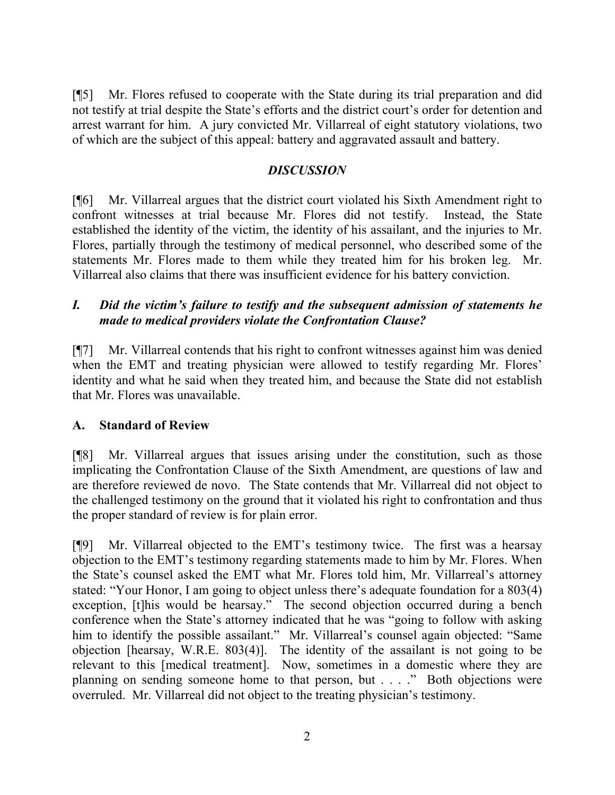[¶5] Mr. Flores refused to cooperate with the State during its trial preparation and did not testify at trial despite the State's efforts and the district court's order for detention and arrest warrant for him. A jury convicted Mr. Villarreal of eight statutory violations, two of which are the subject of this appeal: battery and aggravated assault and battery.

# *DISCUSSION*

[¶6] Mr. Villarreal argues that the district court violated his Sixth Amendment right to confront witnesses at trial because Mr. Flores did not testify. Instead, the State established the identity of the victim, the identity of his assailant, and the injuries to Mr. Flores, partially through the testimony of medical personnel, who described some of the statements Mr. Flores made to them while they treated him for his broken leg. Mr. Villarreal also claims that there was insufficient evidence for his battery conviction.

# *I. Did the victim's failure to testify and the subsequent admission of statements he made to medical providers violate the Confrontation Clause?*

[¶7] Mr. Villarreal contends that his right to confront witnesses against him was denied when the EMT and treating physician were allowed to testify regarding Mr. Flores' identity and what he said when they treated him, and because the State did not establish that Mr. Flores was unavailable.

## **A. Standard of Review**

[¶8] Mr. Villarreal argues that issues arising under the constitution, such as those implicating the Confrontation Clause of the Sixth Amendment, are questions of law and are therefore reviewed de novo. The State contends that Mr. Villarreal did not object to the challenged testimony on the ground that it violated his right to confrontation and thus the proper standard of review is for plain error.

[¶9] Mr. Villarreal objected to the EMT's testimony twice. The first was a hearsay objection to the EMT's testimony regarding statements made to him by Mr. Flores. When the State's counsel asked the EMT what Mr. Flores told him, Mr. Villarreal's attorney stated: "Your Honor, I am going to object unless there's adequate foundation for a 803(4) exception, [t]his would be hearsay." The second objection occurred during a bench conference when the State's attorney indicated that he was "going to follow with asking him to identify the possible assailant." Mr. Villarreal's counsel again objected: "Same objection [hearsay, W.R.E. 803(4)]. The identity of the assailant is not going to be relevant to this [medical treatment]. Now, sometimes in a domestic where they are planning on sending someone home to that person, but . . . ." Both objections were overruled. Mr. Villarreal did not object to the treating physician's testimony.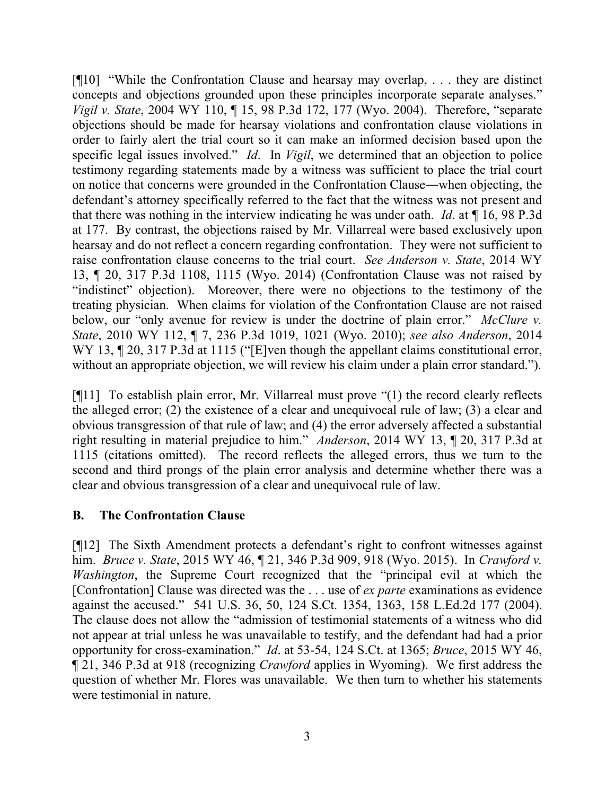[¶10] "While the Confrontation Clause and hearsay may overlap, . . . they are distinct concepts and objections grounded upon these principles incorporate separate analyses." *Vigil v. State*, 2004 WY 110, ¶ 15, 98 P.3d 172, 177 (Wyo. 2004). Therefore, "separate objections should be made for hearsay violations and confrontation clause violations in order to fairly alert the trial court so it can make an informed decision based upon the specific legal issues involved." *Id*. In *Vigil*, we determined that an objection to police testimony regarding statements made by a witness was sufficient to place the trial court on notice that concerns were grounded in the Confrontation Clause―when objecting, the defendant's attorney specifically referred to the fact that the witness was not present and that there was nothing in the interview indicating he was under oath. *Id*. at ¶ 16, 98 P.3d at 177.By contrast, the objections raised by Mr. Villarreal were based exclusively upon hearsay and do not reflect a concern regarding confrontation. They were not sufficient to raise confrontation clause concerns to the trial court. *See Anderson v. State*, 2014 WY 13, ¶ 20, 317 P.3d 1108, 1115 (Wyo. 2014) (Confrontation Clause was not raised by "indistinct" objection). Moreover, there were no objections to the testimony of the treating physician. When claims for violation of the Confrontation Clause are not raised below, our "only avenue for review is under the doctrine of plain error." *McClure v. State*, 2010 WY 112, ¶ 7, 236 P.3d 1019, 1021 (Wyo. 2010); *see also Anderson*, 2014 WY 13,  $\P$  20, 317 P.3d at 1115 ("[E]ven though the appellant claims constitutional error, without an appropriate objection, we will review his claim under a plain error standard.").

[¶11] To establish plain error, Mr. Villarreal must prove "(1) the record clearly reflects the alleged error; (2) the existence of a clear and unequivocal rule of law; (3) a clear and obvious transgression of that rule of law; and (4) the error adversely affected a substantial right resulting in material prejudice to him." *Anderson*, 2014 WY 13, ¶ 20, 317 P.3d at 1115 (citations omitted). The record reflects the alleged errors, thus we turn to the second and third prongs of the plain error analysis and determine whether there was a clear and obvious transgression of a clear and unequivocal rule of law.

## **B. The Confrontation Clause**

[¶12] The Sixth Amendment protects a defendant's right to confront witnesses against him. *Bruce v. State*, 2015 WY 46, ¶ 21, 346 P.3d 909, 918 (Wyo. 2015). In *Crawford v. Washington*, the Supreme Court recognized that the "principal evil at which the [Confrontation] Clause was directed was the . . . use of *ex parte* examinations as evidence against the accused." 541 U.S. 36, 50, 124 S.Ct. 1354, 1363, 158 L.Ed.2d 177 (2004). The clause does not allow the "admission of testimonial statements of a witness who did not appear at trial unless he was unavailable to testify, and the defendant had had a prior opportunity for cross-examination." *Id*. at 53-54, 124 S.Ct. at 1365; *Bruce*, 2015 WY 46, ¶ 21, 346 P.3d at 918 (recognizing *Crawford* applies in Wyoming). We first address the question of whether Mr. Flores was unavailable. We then turn to whether his statements were testimonial in nature.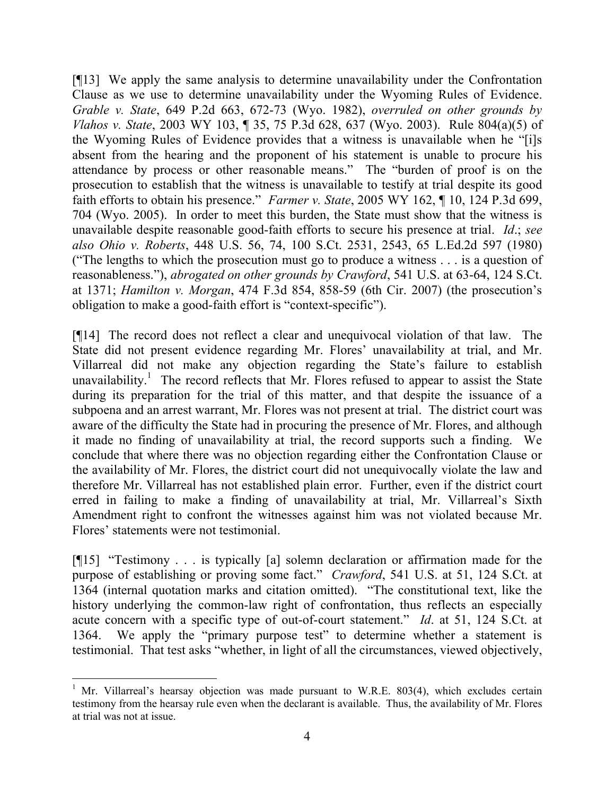[¶13] We apply the same analysis to determine unavailability under the Confrontation Clause as we use to determine unavailability under the Wyoming Rules of Evidence. *Grable v. State*, 649 P.2d 663, 672-73 (Wyo. 1982), *overruled on other grounds by Vlahos v. State*, 2003 WY 103, ¶ 35, 75 P.3d 628, 637 (Wyo. 2003). Rule 804(a)(5) of the Wyoming Rules of Evidence provides that a witness is unavailable when he "[i]s absent from the hearing and the proponent of his statement is unable to procure his attendance by process or other reasonable means." The "burden of proof is on the prosecution to establish that the witness is unavailable to testify at trial despite its good faith efforts to obtain his presence." *Farmer v. State*, 2005 WY 162, ¶ 10, 124 P.3d 699, 704 (Wyo. 2005). In order to meet this burden, the State must show that the witness is unavailable despite reasonable good-faith efforts to secure his presence at trial. *Id*.; *see also Ohio v. Roberts*, 448 U.S. 56, 74, 100 S.Ct. 2531, 2543, 65 L.Ed.2d 597 (1980) ("The lengths to which the prosecution must go to produce a witness . . . is a question of reasonableness."), *abrogated on other grounds by Crawford*, 541 U.S. at 63-64, 124 S.Ct. at 1371; *Hamilton v. Morgan*, 474 F.3d 854, 858-59 (6th Cir. 2007) (the prosecution's obligation to make a good-faith effort is "context-specific").

[¶14] The record does not reflect a clear and unequivocal violation of that law. The State did not present evidence regarding Mr. Flores' unavailability at trial, and Mr. Villarreal did not make any objection regarding the State's failure to establish unavailability.<sup>1</sup> The record reflects that Mr. Flores refused to appear to assist the State during its preparation for the trial of this matter, and that despite the issuance of a subpoena and an arrest warrant, Mr. Flores was not present at trial. The district court was aware of the difficulty the State had in procuring the presence of Mr. Flores, and although it made no finding of unavailability at trial, the record supports such a finding. We conclude that where there was no objection regarding either the Confrontation Clause or the availability of Mr. Flores, the district court did not unequivocally violate the law and therefore Mr. Villarreal has not established plain error. Further, even if the district court erred in failing to make a finding of unavailability at trial, Mr. Villarreal's Sixth Amendment right to confront the witnesses against him was not violated because Mr. Flores' statements were not testimonial.

[¶15] "Testimony . . . is typically [a] solemn declaration or affirmation made for the purpose of establishing or proving some fact." *Crawford*, 541 U.S. at 51, 124 S.Ct. at 1364 (internal quotation marks and citation omitted). "The constitutional text, like the history underlying the common-law right of confrontation, thus reflects an especially acute concern with a specific type of out-of-court statement." *Id*. at 51, 124 S.Ct. at 1364. We apply the "primary purpose test" to determine whether a statement is testimonial. That test asks "whether, in light of all the circumstances, viewed objectively,

<sup>&</sup>lt;sup>1</sup> Mr. Villarreal's hearsay objection was made pursuant to W.R.E. 803(4), which excludes certain testimony from the hearsay rule even when the declarant is available. Thus, the availability of Mr. Flores at trial was not at issue.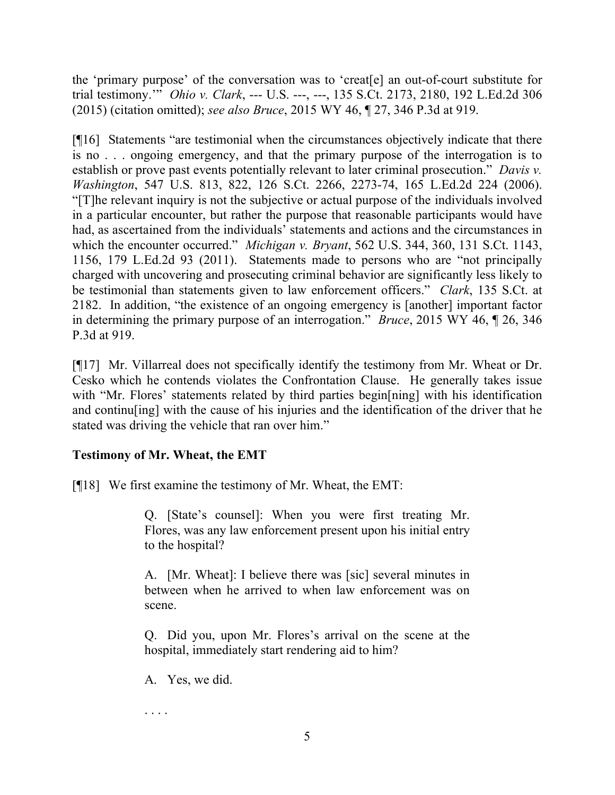the 'primary purpose' of the conversation was to 'creat[e] an out-of-court substitute for trial testimony.'" *Ohio v. Clark*, --- U.S. ---, ---, 135 S.Ct. 2173, 2180, 192 L.Ed.2d 306 (2015) (citation omitted); *see also Bruce*, 2015 WY 46, ¶ 27, 346 P.3d at 919.

[¶16] Statements "are testimonial when the circumstances objectively indicate that there is no . . . ongoing emergency, and that the primary purpose of the interrogation is to establish or prove past events potentially relevant to later criminal prosecution." *Davis v. Washington*, 547 U.S. 813, 822, 126 S.Ct. 2266, 2273-74, 165 L.Ed.2d 224 (2006). "[T]he relevant inquiry is not the subjective or actual purpose of the individuals involved in a particular encounter, but rather the purpose that reasonable participants would have had, as ascertained from the individuals' statements and actions and the circumstances in which the encounter occurred." *Michigan v. Bryant*, 562 U.S. 344, 360, 131 S.Ct. 1143, 1156, 179 L.Ed.2d 93 (2011). Statements made to persons who are "not principally charged with uncovering and prosecuting criminal behavior are significantly less likely to be testimonial than statements given to law enforcement officers." *Clark*, 135 S.Ct. at 2182. In addition, "the existence of an ongoing emergency is [another] important factor in determining the primary purpose of an interrogation." *Bruce*, 2015 WY 46, ¶ 26, 346 P.3d at 919.

[¶17] Mr. Villarreal does not specifically identify the testimony from Mr. Wheat or Dr. Cesko which he contends violates the Confrontation Clause. He generally takes issue with "Mr. Flores" statements related by third parties begin[ning] with his identification and continu[ing] with the cause of his injuries and the identification of the driver that he stated was driving the vehicle that ran over him."

# **Testimony of Mr. Wheat, the EMT**

[¶18] We first examine the testimony of Mr. Wheat, the EMT:

Q. [State's counsel]: When you were first treating Mr. Flores, was any law enforcement present upon his initial entry to the hospital?

A. [Mr. Wheat]: I believe there was [sic] several minutes in between when he arrived to when law enforcement was on scene.

Q. Did you, upon Mr. Flores's arrival on the scene at the hospital, immediately start rendering aid to him?

A. Yes, we did.

. . . .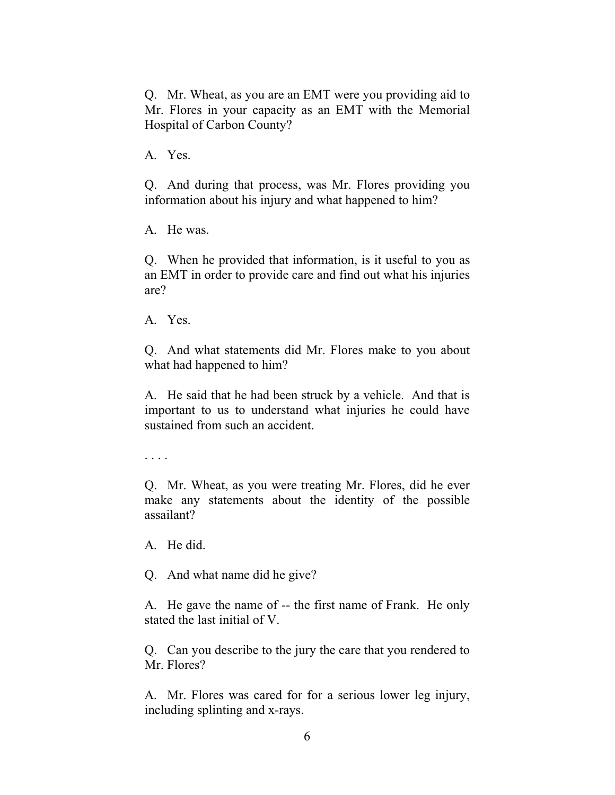Q. Mr. Wheat, as you are an EMT were you providing aid to Mr. Flores in your capacity as an EMT with the Memorial Hospital of Carbon County?

A. Yes.

Q. And during that process, was Mr. Flores providing you information about his injury and what happened to him?

A. He was.

Q. When he provided that information, is it useful to you as an EMT in order to provide care and find out what his injuries are?

A. Yes.

Q. And what statements did Mr. Flores make to you about what had happened to him?

A. He said that he had been struck by a vehicle. And that is important to us to understand what injuries he could have sustained from such an accident.

. . . .

Q. Mr. Wheat, as you were treating Mr. Flores, did he ever make any statements about the identity of the possible assailant?

A. He did.

Q. And what name did he give?

A. He gave the name of -- the first name of Frank. He only stated the last initial of V.

Q. Can you describe to the jury the care that you rendered to Mr. Flores?

A. Mr. Flores was cared for for a serious lower leg injury, including splinting and x-rays.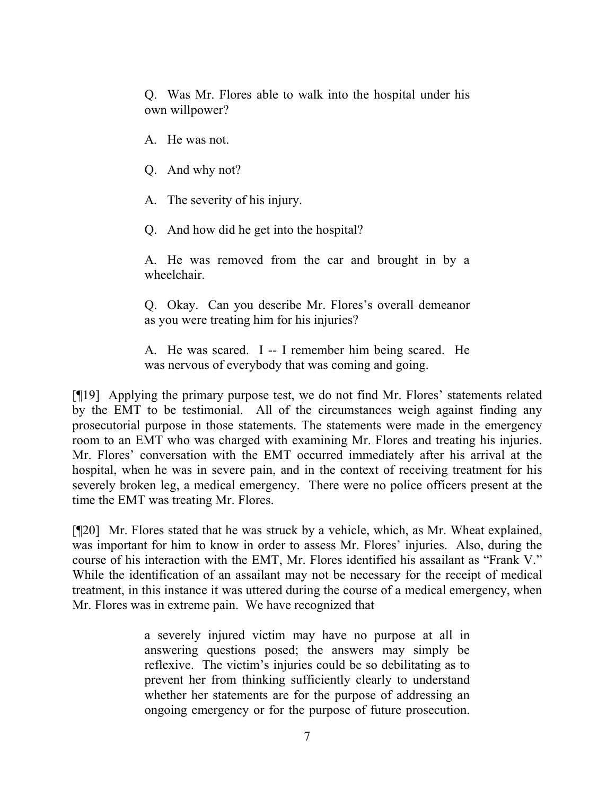Q. Was Mr. Flores able to walk into the hospital under his own willpower?

A. He was not.

Q. And why not?

A. The severity of his injury.

Q. And how did he get into the hospital?

A. He was removed from the car and brought in by a wheelchair.

Q. Okay. Can you describe Mr. Flores's overall demeanor as you were treating him for his injuries?

A. He was scared. I -- I remember him being scared. He was nervous of everybody that was coming and going.

[¶19] Applying the primary purpose test, we do not find Mr. Flores' statements related by the EMT to be testimonial. All of the circumstances weigh against finding any prosecutorial purpose in those statements. The statements were made in the emergency room to an EMT who was charged with examining Mr. Flores and treating his injuries. Mr. Flores' conversation with the EMT occurred immediately after his arrival at the hospital, when he was in severe pain, and in the context of receiving treatment for his severely broken leg, a medical emergency. There were no police officers present at the time the EMT was treating Mr. Flores.

[¶20] Mr. Flores stated that he was struck by a vehicle, which, as Mr. Wheat explained, was important for him to know in order to assess Mr. Flores' injuries. Also, during the course of his interaction with the EMT, Mr. Flores identified his assailant as "Frank V." While the identification of an assailant may not be necessary for the receipt of medical treatment, in this instance it was uttered during the course of a medical emergency, when Mr. Flores was in extreme pain. We have recognized that

> a severely injured victim may have no purpose at all in answering questions posed; the answers may simply be reflexive. The victim's injuries could be so debilitating as to prevent her from thinking sufficiently clearly to understand whether her statements are for the purpose of addressing an ongoing emergency or for the purpose of future prosecution.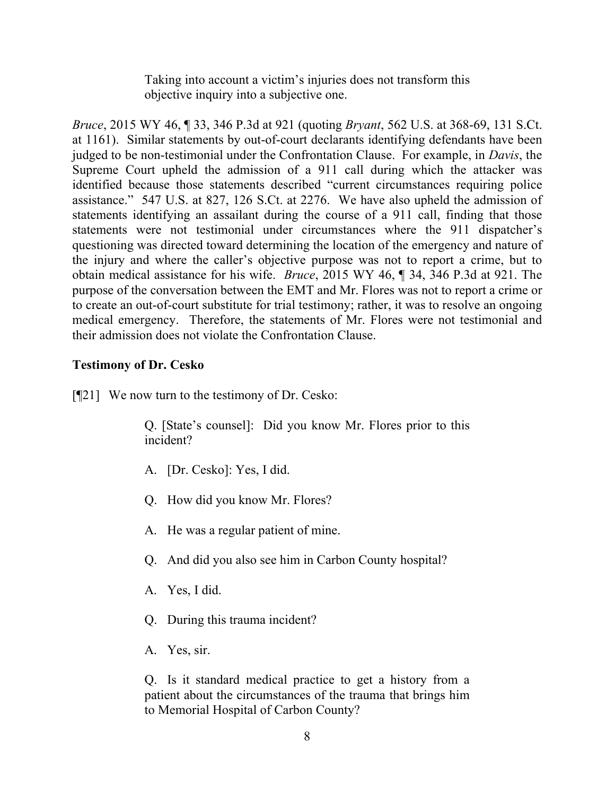Taking into account a victim's injuries does not transform this objective inquiry into a subjective one.

*Bruce*, 2015 WY 46, ¶ 33, 346 P.3d at 921 (quoting *Bryant*, 562 U.S. at 368-69, 131 S.Ct. at 1161). Similar statements by out-of-court declarants identifying defendants have been judged to be non-testimonial under the Confrontation Clause. For example, in *Davis*, the Supreme Court upheld the admission of a 911 call during which the attacker was identified because those statements described "current circumstances requiring police assistance." 547 U.S. at 827, 126 S.Ct. at 2276. We have also upheld the admission of statements identifying an assailant during the course of a 911 call, finding that those statements were not testimonial under circumstances where the 911 dispatcher's questioning was directed toward determining the location of the emergency and nature of the injury and where the caller's objective purpose was not to report a crime, but to obtain medical assistance for his wife. *Bruce*, 2015 WY 46, ¶ 34, 346 P.3d at 921. The purpose of the conversation between the EMT and Mr. Flores was not to report a crime or to create an out-of-court substitute for trial testimony; rather, it was to resolve an ongoing medical emergency. Therefore, the statements of Mr. Flores were not testimonial and their admission does not violate the Confrontation Clause.

# **Testimony of Dr. Cesko**

[¶21] We now turn to the testimony of Dr. Cesko:

Q. [State's counsel]: Did you know Mr. Flores prior to this incident?

- A. [Dr. Cesko]: Yes, I did.
- Q. How did you know Mr. Flores?
- A. He was a regular patient of mine.
- Q. And did you also see him in Carbon County hospital?
- A. Yes, I did.
- Q. During this trauma incident?
- A. Yes, sir.

Q. Is it standard medical practice to get a history from a patient about the circumstances of the trauma that brings him to Memorial Hospital of Carbon County?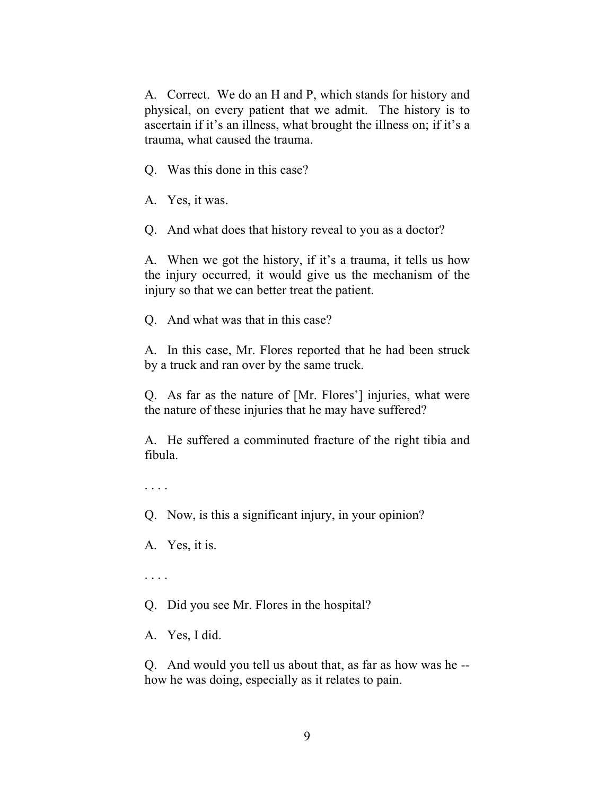A. Correct. We do an H and P, which stands for history and physical, on every patient that we admit. The history is to ascertain if it's an illness, what brought the illness on; if it's a trauma, what caused the trauma.

Q. Was this done in this case?

A. Yes, it was.

Q. And what does that history reveal to you as a doctor?

A. When we got the history, if it's a trauma, it tells us how the injury occurred, it would give us the mechanism of the injury so that we can better treat the patient.

Q. And what was that in this case?

A. In this case, Mr. Flores reported that he had been struck by a truck and ran over by the same truck.

Q. As far as the nature of [Mr. Flores'] injuries, what were the nature of these injuries that he may have suffered?

A. He suffered a comminuted fracture of the right tibia and fibula.

. . . .

Q. Now, is this a significant injury, in your opinion?

A. Yes, it is.

. . . .

Q. Did you see Mr. Flores in the hospital?

A. Yes, I did.

Q. And would you tell us about that, as far as how was he - how he was doing, especially as it relates to pain.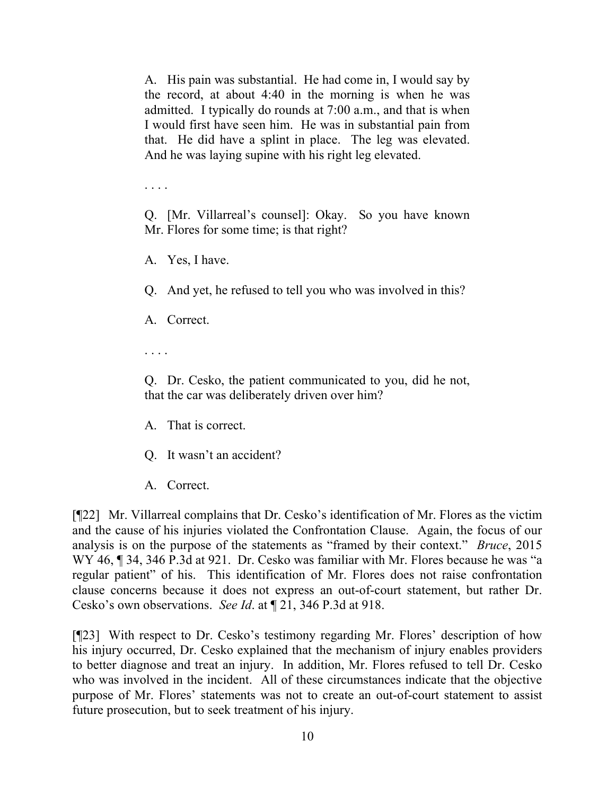A. His pain was substantial. He had come in, I would say by the record, at about 4:40 in the morning is when he was admitted. I typically do rounds at 7:00 a.m., and that is when I would first have seen him. He was in substantial pain from that. He did have a splint in place. The leg was elevated. And he was laying supine with his right leg elevated.

. . . .

Q. [Mr. Villarreal's counsel]: Okay. So you have known Mr. Flores for some time; is that right?

A. Yes, I have.

Q. And yet, he refused to tell you who was involved in this?

A. Correct.

. . . .

Q. Dr. Cesko, the patient communicated to you, did he not, that the car was deliberately driven over him?

- A. That is correct.
- Q. It wasn't an accident?
- A. Correct.

[¶22] Mr. Villarreal complains that Dr. Cesko's identification of Mr. Flores as the victim and the cause of his injuries violated the Confrontation Clause. Again, the focus of our analysis is on the purpose of the statements as "framed by their context." *Bruce*, 2015 WY 46, ¶ 34, 346 P.3d at 921. Dr. Cesko was familiar with Mr. Flores because he was "a regular patient" of his. This identification of Mr. Flores does not raise confrontation clause concerns because it does not express an out-of-court statement, but rather Dr. Cesko's own observations. *See Id*. at ¶ 21, 346 P.3d at 918.

[¶23] With respect to Dr. Cesko's testimony regarding Mr. Flores' description of how his injury occurred, Dr. Cesko explained that the mechanism of injury enables providers to better diagnose and treat an injury. In addition, Mr. Flores refused to tell Dr. Cesko who was involved in the incident. All of these circumstances indicate that the objective purpose of Mr. Flores' statements was not to create an out-of-court statement to assist future prosecution, but to seek treatment of his injury.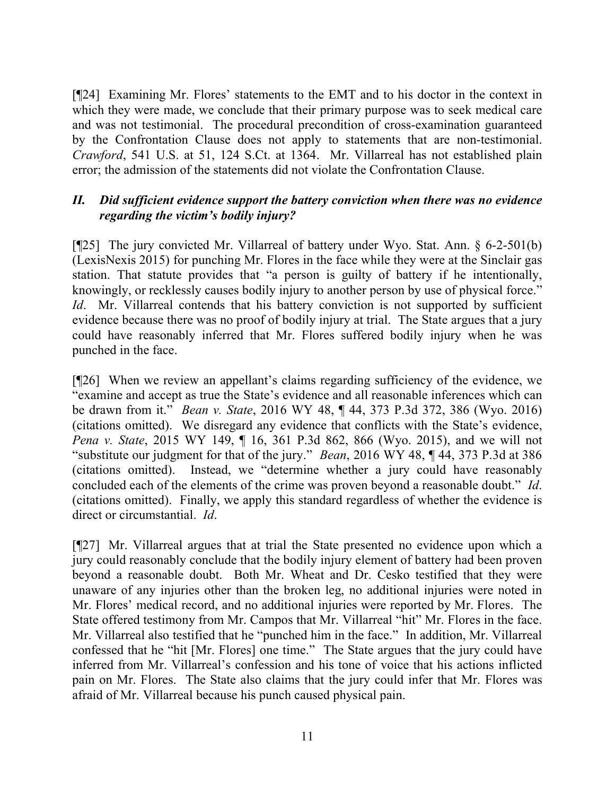[¶24] Examining Mr. Flores' statements to the EMT and to his doctor in the context in which they were made, we conclude that their primary purpose was to seek medical care and was not testimonial. The procedural precondition of cross-examination guaranteed by the Confrontation Clause does not apply to statements that are non-testimonial. *Crawford*, 541 U.S. at 51, 124 S.Ct. at 1364. Mr. Villarreal has not established plain error; the admission of the statements did not violate the Confrontation Clause.

# *II. Did sufficient evidence support the battery conviction when there was no evidence regarding the victim's bodily injury?*

[¶25] The jury convicted Mr. Villarreal of battery under Wyo. Stat. Ann. § 6-2-501(b) (LexisNexis 2015) for punching Mr. Flores in the face while they were at the Sinclair gas station. That statute provides that "a person is guilty of battery if he intentionally, knowingly, or recklessly causes bodily injury to another person by use of physical force." *Id.* Mr. Villarreal contends that his battery conviction is not supported by sufficient evidence because there was no proof of bodily injury at trial. The State argues that a jury could have reasonably inferred that Mr. Flores suffered bodily injury when he was punched in the face.

[¶26] When we review an appellant's claims regarding sufficiency of the evidence, we "examine and accept as true the State's evidence and all reasonable inferences which can be drawn from it." *Bean v. State*, 2016 WY 48, ¶ 44, 373 P.3d 372, 386 (Wyo. 2016) (citations omitted). We disregard any evidence that conflicts with the State's evidence, *Pena v. State*, 2015 WY 149, ¶ 16, 361 P.3d 862, 866 (Wyo. 2015), and we will not "substitute our judgment for that of the jury." *Bean*, 2016 WY 48, ¶ 44, 373 P.3d at 386 (citations omitted). Instead, we "determine whether a jury could have reasonably concluded each of the elements of the crime was proven beyond a reasonable doubt." *Id*. (citations omitted). Finally, we apply this standard regardless of whether the evidence is direct or circumstantial. *Id*.

[¶27] Mr. Villarreal argues that at trial the State presented no evidence upon which a jury could reasonably conclude that the bodily injury element of battery had been proven beyond a reasonable doubt. Both Mr. Wheat and Dr. Cesko testified that they were unaware of any injuries other than the broken leg, no additional injuries were noted in Mr. Flores' medical record, and no additional injuries were reported by Mr. Flores. The State offered testimony from Mr. Campos that Mr. Villarreal "hit" Mr. Flores in the face. Mr. Villarreal also testified that he "punched him in the face." In addition, Mr. Villarreal confessed that he "hit [Mr. Flores] one time." The State argues that the jury could have inferred from Mr. Villarreal's confession and his tone of voice that his actions inflicted pain on Mr. Flores. The State also claims that the jury could infer that Mr. Flores was afraid of Mr. Villarreal because his punch caused physical pain.